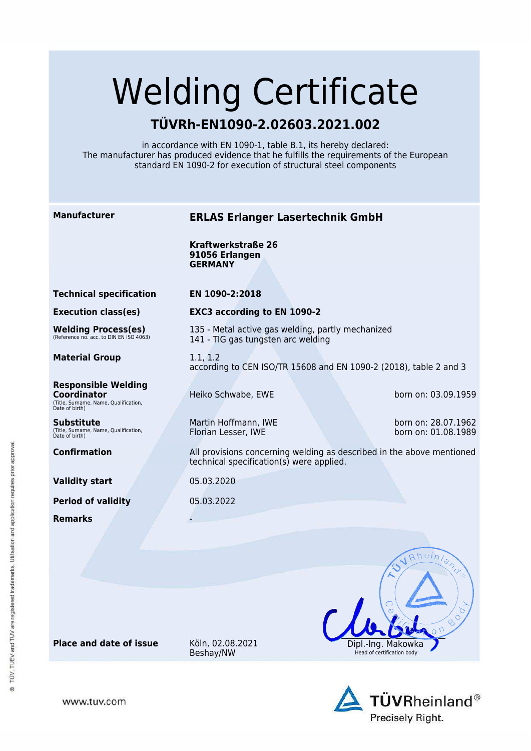# Welding Certificate

## **TÜVRh-EN1090-2.02603.2021.002**

in accordance with EN 1090-1, table B.1, its hereby declared: The manufacturer has produced evidence that he fulfills the requirements of the European standard EN 1090-2 for execution of structural steel components

### **Manufacturer ERLAS Erlanger Lasertechnik GmbH**

135 - Metal active gas welding, partly mechanized

**Kraftwerkstraße 26 91056 Erlangen GERMANY**

**Technical specification EN 1090-2:2018**

**Execution class(es) EXC3 according to EN 1090-2**

**Welding Process(es)** (Reference no. acc. to DIN EN ISO 4063)

**Material Group** 1.1, 1.2

**Responsible Welding Coordinator** (Title, Surname, Name, Qualification, Date of birth)

**Substitute** (Title, Surname, Name, Qualification, Date of birth)

**Validity start** 05.03.2020

**Period of validity** 05.03.2022

**Remarks** -

141 - TIG gas tungsten arc welding

according to CEN ISO/TR 15608 and EN 1090-2 (2018), table 2 and 3

Heiko Schwabe, EWE born on: 03.09.1959

Martin Hoffmann, IWE born on: 28.07.1962<br>Florian Lesser, IWE born on: 01.08.1989

born on: 01.08.1989

**Confirmation All provisions concerning welding as described in the above mentioned** technical specification(s) were applied.

**Place and date of issue** Köln, 02.08.2021

Beshay/NW





www.tuv.com